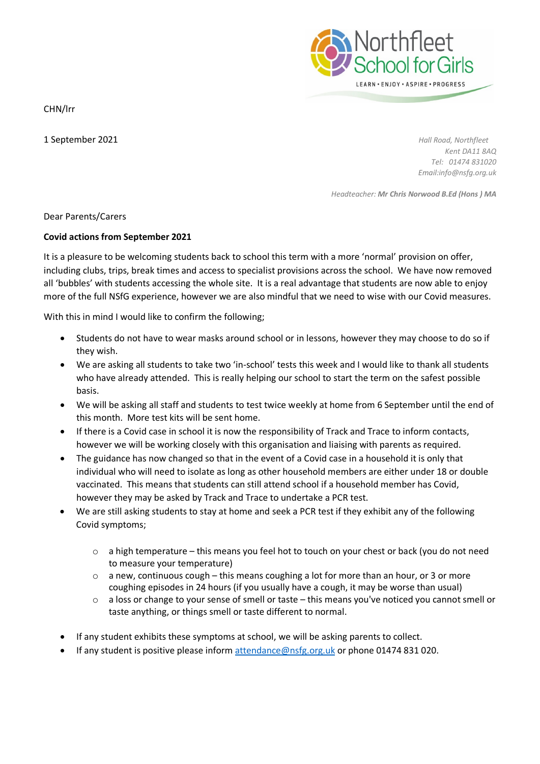

CHN/lrr

1 September 2021 *Hall Road, Northfleet Kent DA11 8AQ Tel: 01474 831020 Email:info@nsfg.org.uk*

*Headteacher: Mr Chris Norwood B.Ed (Hons ) MA*

Dear Parents/Carers

## **Covid actions from September 2021**

It is a pleasure to be welcoming students back to school this term with a more 'normal' provision on offer, including clubs, trips, break times and access to specialist provisions across the school. We have now removed all 'bubbles' with students accessing the whole site. It is a real advantage that students are now able to enjoy more of the full NSfG experience, however we are also mindful that we need to wise with our Covid measures.

With this in mind I would like to confirm the following;

- Students do not have to wear masks around school or in lessons, however they may choose to do so if they wish.
- We are asking all students to take two 'in-school' tests this week and I would like to thank all students who have already attended. This is really helping our school to start the term on the safest possible basis.
- We will be asking all staff and students to test twice weekly at home from 6 September until the end of this month. More test kits will be sent home.
- If there is a Covid case in school it is now the responsibility of Track and Trace to inform contacts, however we will be working closely with this organisation and liaising with parents as required.
- The guidance has now changed so that in the event of a Covid case in a household it is only that individual who will need to isolate as long as other household members are either under 18 or double vaccinated. This means that students can still attend school if a household member has Covid, however they may be asked by Track and Trace to undertake a PCR test.
- We are still asking students to stay at home and seek a PCR test if they exhibit any of the following Covid symptoms;
	- o a high temperature this means you feel hot to touch on your chest or back (you do not need to measure your temperature)
	- $\circ$  a new, continuous cough this means coughing a lot for more than an hour, or 3 or more coughing episodes in 24 hours (if you usually have a cough, it may be worse than usual)
	- o a loss or change to your sense of smell or taste this means you've noticed you cannot smell or taste anything, or things smell or taste different to normal.
- If any student exhibits these symptoms at school, we will be asking parents to collect.
- If any student is positive please inform [attendance@nsfg.org.uk](mailto:attendance@nsfg.org.uk) or phone 01474 831 020.